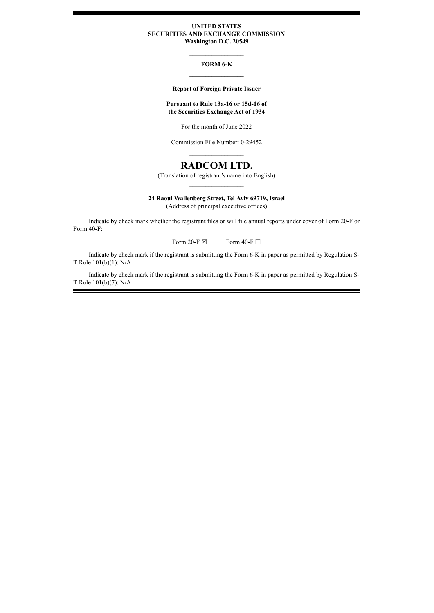## **UNITED STATES SECURITIES AND EXCHANGE COMMISSION Washington D.C. 20549**

**\_\_\_\_\_\_\_\_\_\_\_\_\_\_\_\_\_**

## **FORM 6-K \_\_\_\_\_\_\_\_\_\_\_\_\_\_\_\_\_**

## **Report of Foreign Private Issuer**

## **Pursuant to Rule 13a-16 or 15d-16 of the Securities Exchange Act of 1934**

For the month of June 2022

Commission File Number: 0-29452 **\_\_\_\_\_\_\_\_\_\_\_\_\_\_\_\_\_**

# **RADCOM LTD.**

(Translation of registrant's name into English) **\_\_\_\_\_\_\_\_\_\_\_\_\_\_\_\_\_**

## **24 Raoul Wallenberg Street, Tel Aviv 69719, Israel**

(Address of principal executive offices)

Indicate by check mark whether the registrant files or will file annual reports under cover of Form 20-F or Form 40-F:

Form 20-F  $\boxtimes$  Form 40-F  $\Box$ 

Indicate by check mark if the registrant is submitting the Form 6-K in paper as permitted by Regulation S-T Rule 101(b)(1): N/A

Indicate by check mark if the registrant is submitting the Form 6-K in paper as permitted by Regulation S-T Rule 101(b)(7): N/A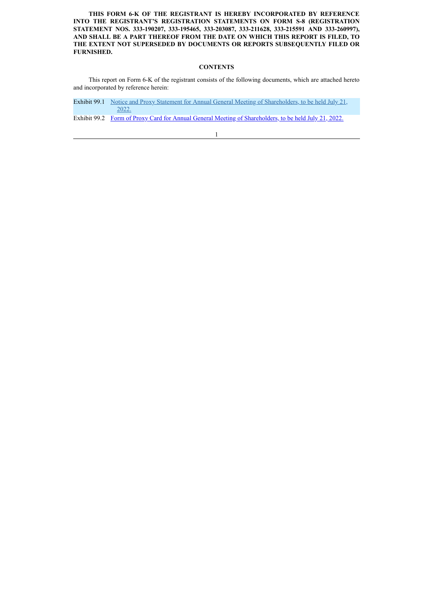**THIS FORM 6-K OF THE REGISTRANT IS HEREBY INCORPORATED BY REFERENCE INTO THE REGISTRANT'S REGISTRATION STATEMENTS ON FORM S-8 (REGISTRATION STATEMENT NOS. 333-190207, 333-195465, 333-203087, 333-211628, 333-215591 AND 333-260997), AND SHALL BE A PART THEREOF FROM THE DATE ON WHICH THIS REPORT IS FILED, TO THE EXTENT NOT SUPERSEDED BY DOCUMENTS OR REPORTS SUBSEQUENTLY FILED OR FURNISHED.**

## **CONTENTS**

This report on Form 6-K of the registrant consists of the following documents, which are attached hereto and incorporated by reference herein:

Exhibit 99.1 [Notice and Proxy Statement for Annual General Meeting of Shareholders, to be held July 21,](#page-3-0) 2022.

Exhibit 99.2 [Form of Proxy Card for Annual General Meeting of Shareholders, to be held July 21, 2022.](#page-30-0)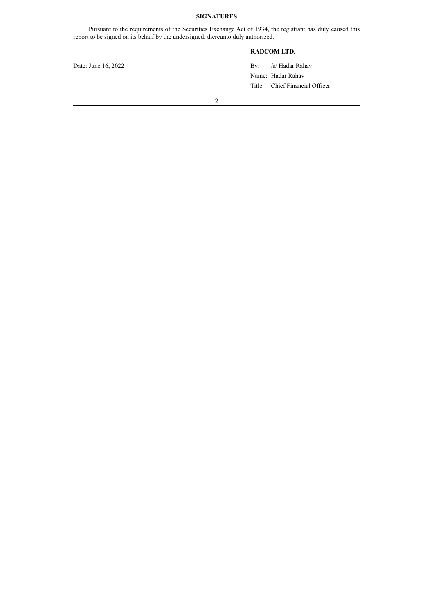## **SIGNATURES**

Pursuant to the requirements of the Securities Exchange Act of 1934, the registrant has duly caused this report to be signed on its behalf by the undersigned, thereunto duly authorized.

## **RADCOM LTD.**

Date: June 16, 2022 By: /s/ Hadar Rahav Name: Hadar Rahav

Title: Chief Financial Officer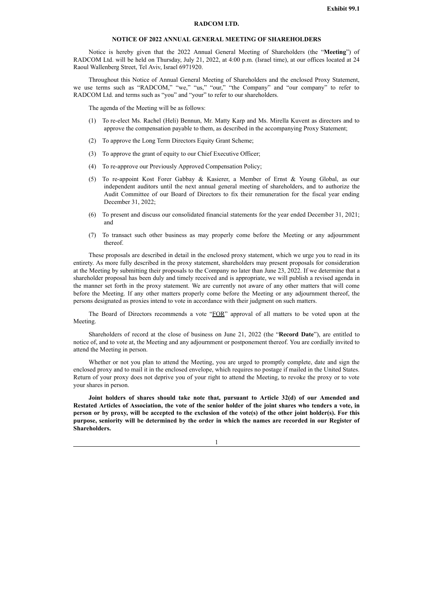#### **RADCOM LTD.**

#### **NOTICE OF 2022 ANNUAL GENERAL MEETING OF SHAREHOLDERS**

<span id="page-3-0"></span>Notice is hereby given that the 2022 Annual General Meeting of Shareholders (the "**Meeting**") of RADCOM Ltd. will be held on Thursday, July 21, 2022, at 4:00 p.m. (Israel time), at our offices located at 24 Raoul Wallenberg Street, Tel Aviv, Israel 6971920.

Throughout this Notice of Annual General Meeting of Shareholders and the enclosed Proxy Statement, we use terms such as "RADCOM," "we," "us," "our," "the Company" and "our company" to refer to RADCOM Ltd. and terms such as "you" and "your" to refer to our shareholders.

The agenda of the Meeting will be as follows:

- (1) To re-elect Ms. Rachel (Heli) Bennun, Mr. Matty Karp and Ms. Mirella Kuvent as directors and to approve the compensation payable to them, as described in the accompanying Proxy Statement;
- (2) To approve the Long Term Directors Equity Grant Scheme;
- (3) To approve the grant of equity to our Chief Executive Officer;
- (4) To re-approve our Previously Approved Compensation Policy;
- (5) To re-appoint Kost Forer Gabbay & Kasierer, a Member of Ernst & Young Global, as our independent auditors until the next annual general meeting of shareholders, and to authorize the Audit Committee of our Board of Directors to fix their remuneration for the fiscal year ending December 31, 2022;
- (6) To present and discuss our consolidated financial statements for the year ended December 31, 2021; and
- (7) To transact such other business as may properly come before the Meeting or any adjournment thereof.

These proposals are described in detail in the enclosed proxy statement, which we urge you to read in its entirety. As more fully described in the proxy statement, shareholders may present proposals for consideration at the Meeting by submitting their proposals to the Company no later than June 23, 2022. If we determine that a shareholder proposal has been duly and timely received and is appropriate, we will publish a revised agenda in the manner set forth in the proxy statement. We are currently not aware of any other matters that will come before the Meeting. If any other matters properly come before the Meeting or any adjournment thereof, the persons designated as proxies intend to vote in accordance with their judgment on such matters.

The Board of Directors recommends a vote "FOR" approval of all matters to be voted upon at the Meeting.

Shareholders of record at the close of business on June 21, 2022 (the "**Record Date**"), are entitled to notice of, and to vote at, the Meeting and any adjournment or postponement thereof. You are cordially invited to attend the Meeting in person.

Whether or not you plan to attend the Meeting, you are urged to promptly complete, date and sign the enclosed proxy and to mail it in the enclosed envelope, which requires no postage if mailed in the United States. Return of your proxy does not deprive you of your right to attend the Meeting, to revoke the proxy or to vote your shares in person.

**Joint holders of shares should take note that, pursuant to Article 32(d) of our Amended and Restated Articles of Association, the vote of the senior holder of the joint shares who tenders a vote, in person or by proxy, will be accepted to the exclusion of the vote(s) of the other joint holder(s). For this purpose, seniority will be determined by the order in which the names are recorded in our Register of Shareholders.**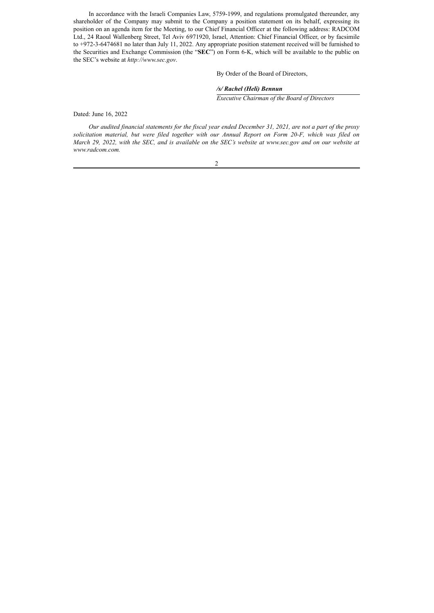In accordance with the Israeli Companies Law, 5759-1999, and regulations promulgated thereunder, any shareholder of the Company may submit to the Company a position statement on its behalf, expressing its position on an agenda item for the Meeting, to our Chief Financial Officer at the following address: RADCOM Ltd., 24 Raoul Wallenberg Street, Tel Aviv 6971920, Israel, Attention: Chief Financial Officer, or by facsimile to +972-3-6474681 no later than July 11, 2022. Any appropriate position statement received will be furnished to the Securities and Exchange Commission (the "**SEC**") on Form 6-K, which will be available to the public on the SEC's website at *http://www.sec.gov*.

By Order of the Board of Directors,

## */s/ Rachel (Heli) Bennun*

*Executive Chairman of the Board of Directors*

Dated: June 16, 2022

*Our audited financial statements for the fiscal year ended December 31, 2021, are not a part of the proxy solicitation material, but were filed together with our Annual Report on Form 20-F, which was filed on March 29, 2022, with the SEC, and is available on the SEC's website at www.sec.gov and on our website at www.radcom.com.*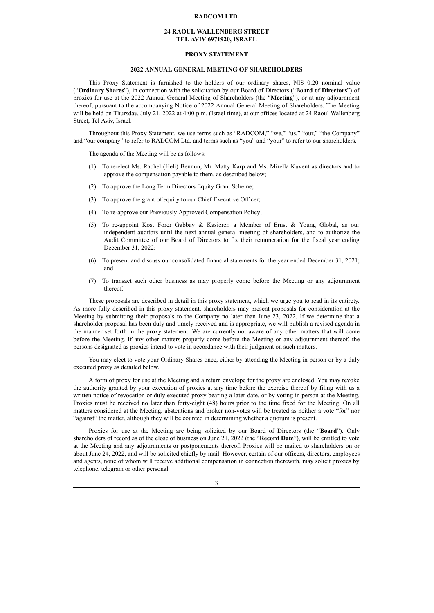#### **RADCOM LTD.**

#### **24 RAOUL WALLENBERG STREET TEL AVIV 6971920, ISRAEL**

#### **PROXY STATEMENT**

#### **2022 ANNUAL GENERAL MEETING OF SHAREHOLDERS**

This Proxy Statement is furnished to the holders of our ordinary shares, NIS 0.20 nominal value ("**Ordinary Shares**"), in connection with the solicitation by our Board of Directors ("**Board of Directors**") of proxies for use at the 2022 Annual General Meeting of Shareholders (the "**Meeting**"), or at any adjournment thereof, pursuant to the accompanying Notice of 2022 Annual General Meeting of Shareholders. The Meeting will be held on Thursday, July 21, 2022 at 4:00 p.m. (Israel time), at our offices located at 24 Raoul Wallenberg Street, Tel Aviv, Israel.

Throughout this Proxy Statement, we use terms such as "RADCOM," "we," "us," "our," "the Company" and "our company" to refer to RADCOM Ltd. and terms such as "you" and "your" to refer to our shareholders.

The agenda of the Meeting will be as follows:

- (1) To re-elect Ms. Rachel (Heli) Bennun, Mr. Matty Karp and Ms. Mirella Kuvent as directors and to approve the compensation payable to them, as described below;
- (2) To approve the Long Term Directors Equity Grant Scheme;
- (3) To approve the grant of equity to our Chief Executive Officer;
- (4) To re-approve our Previously Approved Compensation Policy;
- (5) To re-appoint Kost Forer Gabbay & Kasierer, a Member of Ernst & Young Global, as our independent auditors until the next annual general meeting of shareholders, and to authorize the Audit Committee of our Board of Directors to fix their remuneration for the fiscal year ending December 31, 2022;
- (6) To present and discuss our consolidated financial statements for the year ended December 31, 2021; and
- (7) To transact such other business as may properly come before the Meeting or any adjournment thereof.

These proposals are described in detail in this proxy statement, which we urge you to read in its entirety. As more fully described in this proxy statement, shareholders may present proposals for consideration at the Meeting by submitting their proposals to the Company no later than June 23, 2022. If we determine that a shareholder proposal has been duly and timely received and is appropriate, we will publish a revised agenda in the manner set forth in the proxy statement. We are currently not aware of any other matters that will come before the Meeting. If any other matters properly come before the Meeting or any adjournment thereof, the persons designated as proxies intend to vote in accordance with their judgment on such matters.

You may elect to vote your Ordinary Shares once, either by attending the Meeting in person or by a duly executed proxy as detailed below.

A form of proxy for use at the Meeting and a return envelope for the proxy are enclosed. You may revoke the authority granted by your execution of proxies at any time before the exercise thereof by filing with us a written notice of revocation or duly executed proxy bearing a later date, or by voting in person at the Meeting. Proxies must be received no later than forty-eight (48) hours prior to the time fixed for the Meeting. On all matters considered at the Meeting, abstentions and broker non-votes will be treated as neither a vote "for" nor "against" the matter, although they will be counted in determining whether a quorum is present.

Proxies for use at the Meeting are being solicited by our Board of Directors (the "**Board**"). Only shareholders of record as of the close of business on June 21, 2022 (the "**Record Date**"), will be entitled to vote at the Meeting and any adjournments or postponements thereof. Proxies will be mailed to shareholders on or about June 24, 2022, and will be solicited chiefly by mail. However, certain of our officers, directors, employees and agents, none of whom will receive additional compensation in connection therewith, may solicit proxies by telephone, telegram or other personal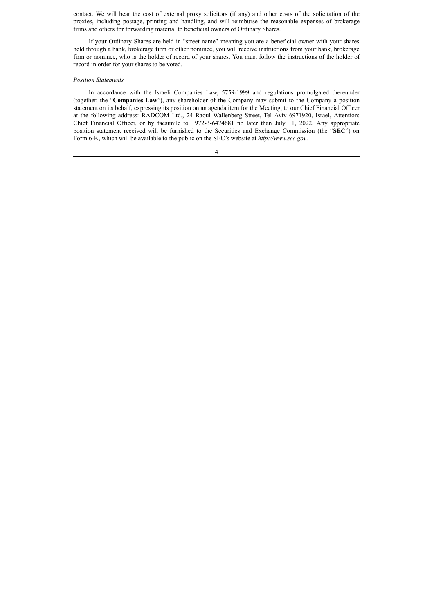contact. We will bear the cost of external proxy solicitors (if any) and other costs of the solicitation of the proxies, including postage, printing and handling, and will reimburse the reasonable expenses of brokerage firms and others for forwarding material to beneficial owners of Ordinary Shares.

If your Ordinary Shares are held in "street name" meaning you are a beneficial owner with your shares held through a bank, brokerage firm or other nominee, you will receive instructions from your bank, brokerage firm or nominee, who is the holder of record of your shares. You must follow the instructions of the holder of record in order for your shares to be voted.

## *Position Statements*

In accordance with the Israeli Companies Law, 5759-1999 and regulations promulgated thereunder (together, the "**Companies Law**"), any shareholder of the Company may submit to the Company a position statement on its behalf, expressing its position on an agenda item for the Meeting, to our Chief Financial Officer at the following address: RADCOM Ltd., 24 Raoul Wallenberg Street, Tel Aviv 6971920, Israel, Attention: Chief Financial Officer, or by facsimile to +972-3-6474681 no later than July 11, 2022. Any appropriate position statement received will be furnished to the Securities and Exchange Commission (the "**SEC**") on Form 6-K, which will be available to the public on the SEC's website at *http://www.sec.gov*.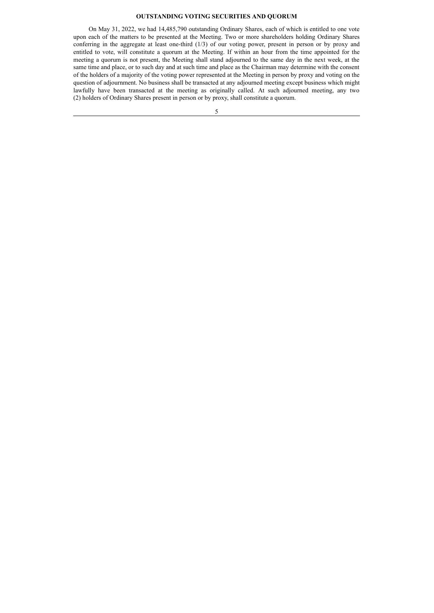#### **OUTSTANDING VOTING SECURITIES AND QUORUM**

On May 31, 2022, we had 14,485,790 outstanding Ordinary Shares, each of which is entitled to one vote upon each of the matters to be presented at the Meeting. Two or more shareholders holding Ordinary Shares conferring in the aggregate at least one-third (1/3) of our voting power, present in person or by proxy and entitled to vote, will constitute a quorum at the Meeting. If within an hour from the time appointed for the meeting a quorum is not present, the Meeting shall stand adjourned to the same day in the next week, at the same time and place, or to such day and at such time and place as the Chairman may determine with the consent of the holders of a majority of the voting power represented at the Meeting in person by proxy and voting on the question of adjournment. No business shall be transacted at any adjourned meeting except business which might lawfully have been transacted at the meeting as originally called. At such adjourned meeting, any two (2) holders of Ordinary Shares present in person or by proxy, shall constitute a quorum.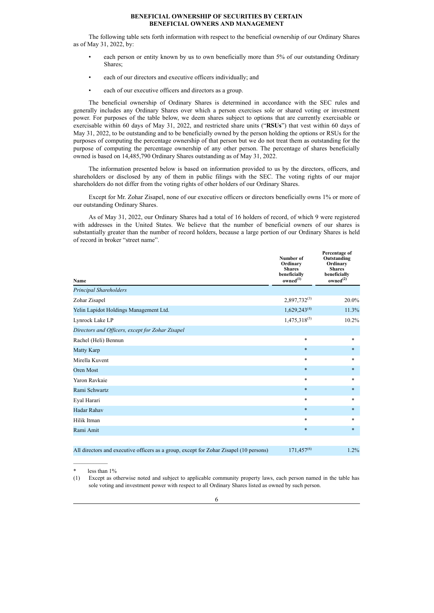## **BENEFICIAL OWNERSHIP OF SECURITIES BY CERTAIN BENEFICIAL OWNERS AND MANAGEMENT**

The following table sets forth information with respect to the beneficial ownership of our Ordinary Shares as of May 31, 2022, by:

- each person or entity known by us to own beneficially more than 5% of our outstanding Ordinary Shares;
- each of our directors and executive officers individually; and
- each of our executive officers and directors as a group.

The beneficial ownership of Ordinary Shares is determined in accordance with the SEC rules and generally includes any Ordinary Shares over which a person exercises sole or shared voting or investment power. For purposes of the table below, we deem shares subject to options that are currently exercisable or exercisable within 60 days of May 31, 2022, and restricted share units ("**RSUs**") that vest within 60 days of May 31, 2022, to be outstanding and to be beneficially owned by the person holding the options or RSUs for the purposes of computing the percentage ownership of that person but we do not treat them as outstanding for the purpose of computing the percentage ownership of any other person. The percentage of shares beneficially owned is based on 14,485,790 Ordinary Shares outstanding as of May 31, 2022.

The information presented below is based on information provided to us by the directors, officers, and shareholders or disclosed by any of them in public filings with the SEC. The voting rights of our major shareholders do not differ from the voting rights of other holders of our Ordinary Shares.

Except for Mr. Zohar Zisapel, none of our executive officers or directors beneficially owns 1% or more of our outstanding Ordinary Shares.

As of May 31, 2022, our Ordinary Shares had a total of 16 holders of record, of which 9 were registered with addresses in the United States. We believe that the number of beneficial owners of our shares is substantially greater than the number of record holders, because a large portion of our Ordinary Shares is held of record in broker "street name".

| <b>Name</b>                                                                            | Number of<br>Ordinary<br><b>Shares</b><br>beneficially<br>owned <sup>(1)</sup> | Percentage of<br>Outstanding<br>Ordinary<br><b>Shares</b><br>beneficially<br>owned <sup>(2)</sup> |
|----------------------------------------------------------------------------------------|--------------------------------------------------------------------------------|---------------------------------------------------------------------------------------------------|
| Principal Shareholders                                                                 |                                                                                |                                                                                                   |
| Zohar Zisapel                                                                          | $2,897,732^{(3)}$                                                              | 20.0%                                                                                             |
| Yelin Lapidot Holdings Management Ltd.                                                 | $1,629,243^{(4)}$                                                              | 11.3%                                                                                             |
| Lynrock Lake LP                                                                        | $1,475,318^{(5)}$                                                              | 10.2%                                                                                             |
| Directors and Officers, except for Zohar Zisapel                                       |                                                                                |                                                                                                   |
| Rachel (Heli) Bennun                                                                   | $\ast$                                                                         | $\ast$                                                                                            |
| Matty Karp                                                                             | $\ast$                                                                         | $\ast$                                                                                            |
| Mirella Kuvent                                                                         | $\ast$                                                                         | *                                                                                                 |
| Oren Most                                                                              | $\ast$                                                                         | $\ast$                                                                                            |
| Yaron Ravkaie                                                                          | $\ast$                                                                         | *                                                                                                 |
| Rami Schwartz                                                                          | $\ast$                                                                         | $\ast$                                                                                            |
| Eyal Harari                                                                            | $\ast$                                                                         | *                                                                                                 |
| Hadar Rahav                                                                            | $\ast$                                                                         | $\ast$                                                                                            |
| Hilik Itman                                                                            | $\ast$                                                                         | *                                                                                                 |
| Rami Amit                                                                              | $\ast$                                                                         | $\ast$                                                                                            |
|                                                                                        |                                                                                |                                                                                                   |
| All directors and executive officers as a group, except for Zohar Zisapel (10 persons) | $171,457^{(6)}$                                                                | 1.2%                                                                                              |

 $\mathcal{L}=\mathcal{L}^{\mathcal{L}}$ less than  $1\%$ 

<sup>(1)</sup> Except as otherwise noted and subject to applicable community property laws, each person named in the table has sole voting and investment power with respect to all Ordinary Shares listed as owned by such person.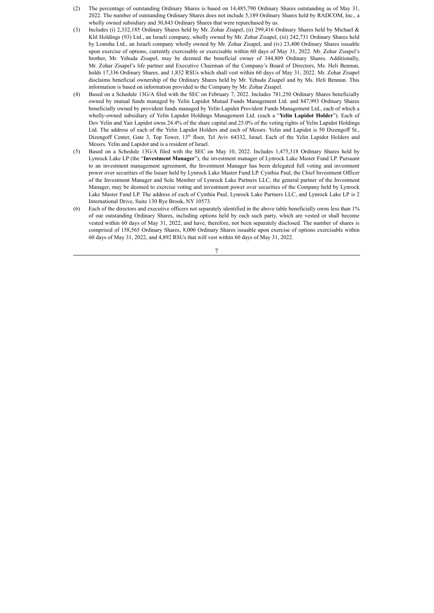- (2) The percentage of outstanding Ordinary Shares is based on 14,485,790 Ordinary Shares outstanding as of May 31, 2022. The number of outstanding Ordinary Shares does not include 5,189 Ordinary Shares held by RADCOM, Inc., a wholly owned subsidiary and 30,843 Ordinary Shares that were repurchased by us.
- (3) Includes (i) 2,332,185 Ordinary Shares held by Mr. Zohar Zisapel, (ii) 299,416 Ordinary Shares held by Michael & Klil Holdings (93) Ltd., an Israeli company, wholly owned by Mr. Zohar Zisapel, (iii) 242,731 Ordinary Shares held by Lomsha Ltd., an Israeli company wholly owned by Mr. Zohar Zisapel, and (iv) 23,400 Ordinary Shares issuable upon exercise of options, currently exercisable or exercisable within 60 days of May 31, 2022. Mr. Zohar Zisapel's brother, Mr. Yehuda Zisapel, may be deemed the beneficial owner of 344,809 Ordinary Shares. Additionally, Mr. Zohar Zisapel's life partner and Executive Chairman of the Company's Board of Directors, Ms. Heli Bennun, holds 17,336 Ordinary Shares, and 1,832 RSUs which shall vest within 60 days of May 31, 2022. Mr. Zohar Zisapel disclaims beneficial ownership of the Ordinary Shares held by Mr. Yehuda Zisapel and by Ms. Heli Bennun. This information is based on information provided to the Company by Mr. Zohar Zisapel.
- (4) Based on a Schedule 13G/A filed with the SEC on February 7, 2022. Includes 781,250 Ordinary Shares beneficially owned by mutual funds managed by Yelin Lapidot Mutual Funds Management Ltd. and 847,993 Ordinary Shares beneficially owned by provident funds managed by Yelin Lapidot Provident Funds Management Ltd., each of which a wholly-owned subsidiary of Yelin Lapidot Holdings Management Ltd. (each a "**Yelin Lapidot Holder**"). Each of Dov Yelin and Yair Lapidot owns 24.4% of the share capital and 25.0% of the voting rights of Yelin Lapidot Holdings Ltd. The address of each of the Yelin Lapidot Holders and each of Messrs. Yelin and Lapidot is 50 Dizengoff St., Dizengoff Center, Gate 3, Top Tower, 13<sup>th</sup> floor, Tel Aviv 64332, Israel. Each of the Yelin Lapidot Holders and Messrs. Yelin and Lapidot and is a resident of Israel.
- (5) Based on a Schedule 13G/A filed with the SEC on May 10, 2022. Includes 1,475,318 Ordinary Shares held by Lynrock Lake LP (the "**Investment Manager**"), the investment manager of Lynrock Lake Master Fund LP. Pursuant to an investment management agreement, the Investment Manager has been delegated full voting and investment power over securities of the Issuer held by Lynrock Lake Master Fund LP. Cynthia Paul, the Chief Investment Officer of the Investment Manager and Sole Member of Lynrock Lake Partners LLC, the general partner of the Investment Manager, may be deemed to exercise voting and investment power over securities of the Company held by Lynrock Lake Master Fund LP. The address of each of Cynthia Paul, Lynrock Lake Partners LLC, and Lynrock Lake LP is 2 International Drive, Suite 130 Rye Brook, NY 10573.
- (6) Each of the directors and executive officers not separately identified in the above table beneficially owns less than 1% of our outstanding Ordinary Shares, including options held by each such party, which are vested or shall become vested within 60 days of May 31, 2022, and have, therefore, not been separately disclosed. The number of shares is comprised of 158,565 Ordinary Shares, 8,000 Ordinary Shares issuable upon exercise of options exercisable within 60 days of May 31, 2022, and 4,892 RSUs that will vest within 60 days of May 31, 2022.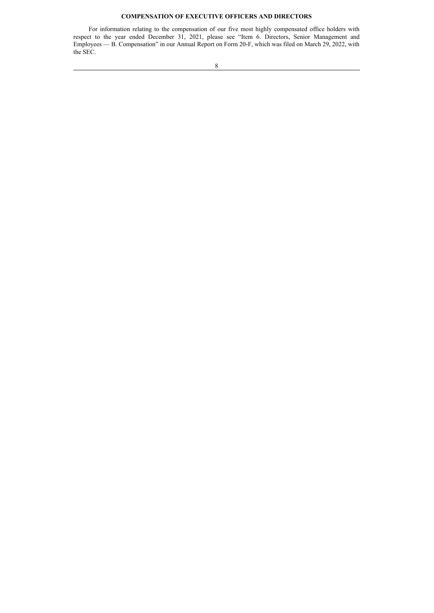## **COMPENSATION OF EXECUTIVE OFFICERS AND DIRECTORS**

For information relating to the compensation of our five most highly compensated office holders with respect to the year ended December 31, 2021, please see "Item 6. Directors, Senior Management and Employees — B. Compensation" in our Annual Report on Form 20-F, which was filed on March 29, 2022, with the SEC.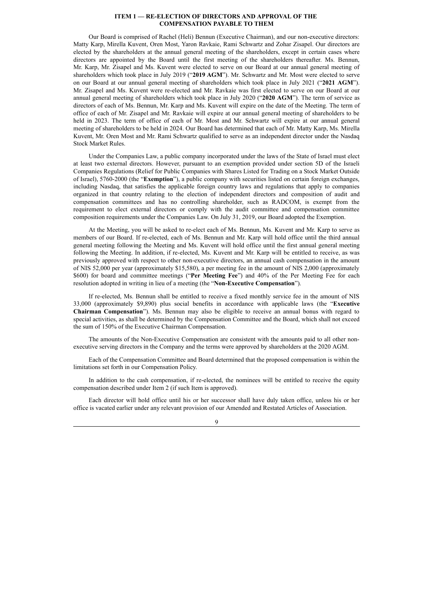#### **ITEM 1 — RE-ELECTION OF DIRECTORS AND APPROVAL OF THE COMPENSATION PAYABLE TO THEM**

Our Board is comprised of Rachel (Heli) Bennun (Executive Chairman), and our non-executive directors: Matty Karp, Mirella Kuvent, Oren Most, Yaron Ravkaie, Rami Schwartz and Zohar Zisapel. Our directors are elected by the shareholders at the annual general meeting of the shareholders, except in certain cases where directors are appointed by the Board until the first meeting of the shareholders thereafter. Ms. Bennun, Mr. Karp, Mr. Zisapel and Ms. Kuvent were elected to serve on our Board at our annual general meeting of shareholders which took place in July 2019 ("**2019 AGM**"). Mr. Schwartz and Mr. Most were elected to serve on our Board at our annual general meeting of shareholders which took place in July 2021 ("**2021 AGM**"). Mr. Zisapel and Ms. Kuvent were re-elected and Mr. Ravkaie was first elected to serve on our Board at our annual general meeting of shareholders which took place in July 2020 ("**2020 AGM**"). The term of service as directors of each of Ms. Bennun, Mr. Karp and Ms. Kuvent will expire on the date of the Meeting. The term of office of each of Mr. Zisapel and Mr. Ravkaie will expire at our annual general meeting of shareholders to be held in 2023. The term of office of each of Mr. Most and Mr. Schwartz will expire at our annual general meeting of shareholders to be held in 2024. Our Board has determined that each of Mr. Matty Karp, Ms. Mirella Kuvent, Mr. Oren Most and Mr. Rami Schwartz qualified to serve as an independent director under the Nasdaq Stock Market Rules.

Under the Companies Law, a public company incorporated under the laws of the State of Israel must elect at least two external directors. However, pursuant to an exemption provided under section 5D of the Israeli Companies Regulations (Relief for Public Companies with Shares Listed for Trading on a Stock Market Outside of Israel), 5760-2000 (the "**Exemption**"), a public company with securities listed on certain foreign exchanges, including Nasdaq, that satisfies the applicable foreign country laws and regulations that apply to companies organized in that country relating to the election of independent directors and composition of audit and compensation committees and has no controlling shareholder, such as RADCOM, is exempt from the requirement to elect external directors or comply with the audit committee and compensation committee composition requirements under the Companies Law. On July 31, 2019, our Board adopted the Exemption.

At the Meeting, you will be asked to re-elect each of Ms. Bennun, Ms. Kuvent and Mr. Karp to serve as members of our Board. If re-elected, each of Ms. Bennun and Mr. Karp will hold office until the third annual general meeting following the Meeting and Ms. Kuvent will hold office until the first annual general meeting following the Meeting. In addition, if re-elected, Ms. Kuvent and Mr. Karp will be entitled to receive, as was previously approved with respect to other non-executive directors, an annual cash compensation in the amount of NIS 52,000 per year (approximately \$15,580), a per meeting fee in the amount of NIS 2,000 (approximately \$600) for board and committee meetings ("**Per Meeting Fee**") and 40% of the Per Meeting Fee for each resolution adopted in writing in lieu of a meeting (the "**Non-Executive Compensation**").

If re-elected, Ms. Bennun shall be entitled to receive a fixed monthly service fee in the amount of NIS 33,000 (approximately \$9,890) plus social benefits in accordance with applicable laws (the "**Executive Chairman Compensation**"). Ms. Bennun may also be eligible to receive an annual bonus with regard to special activities, as shall be determined by the Compensation Committee and the Board, which shall not exceed the sum of 150% of the Executive Chairman Compensation.

The amounts of the Non-Executive Compensation are consistent with the amounts paid to all other nonexecutive serving directors in the Company and the terms were approved by shareholders at the 2020 AGM.

Each of the Compensation Committee and Board determined that the proposed compensation is within the limitations set forth in our Compensation Policy.

In addition to the cash compensation, if re-elected, the nominees will be entitled to receive the equity compensation described under Item 2 (if such Item is approved).

Each director will hold office until his or her successor shall have duly taken office, unless his or her office is vacated earlier under any relevant provision of our Amended and Restated Articles of Association.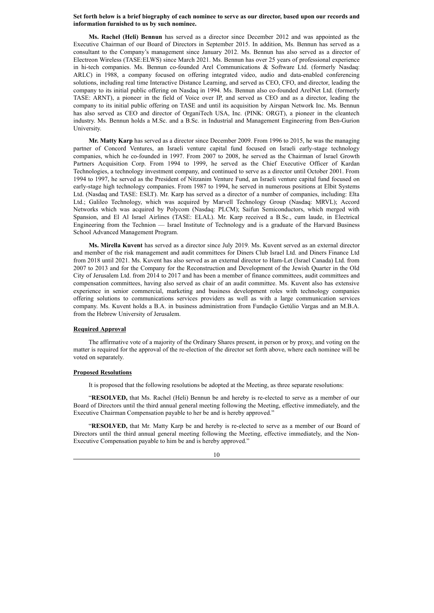#### **Set forth below is a brief biography of each nominee to serve as our director, based upon our records and information furnished to us by such nominee.**

**Ms. Rachel (Heli) Bennun** has served as a director since December 2012 and was appointed as the Executive Chairman of our Board of Directors in September 2015. In addition, Ms. Bennun has served as a consultant to the Company's management since January 2012. Ms. Bennun has also served as a director of Electreon Wireless (TASE:ELWS) since March 2021. Ms. Bennun has over 25 years of professional experience in hi-tech companies. Ms. Bennun co-founded Arel Communications & Software Ltd. (formerly Nasdaq: ARLC) in 1988, a company focused on offering integrated video, audio and data-enabled conferencing solutions, including real time Interactive Distance Learning, and served as CEO, CFO, and director, leading the company to its initial public offering on Nasdaq in 1994. Ms. Bennun also co-founded ArelNet Ltd. (formerly TASE: ARNT), a pioneer in the field of Voice over IP, and served as CEO and as a director, leading the company to its initial public offering on TASE and until its acquisition by Airspan Network Inc. Ms. Bennun has also served as CEO and director of OrganiTech USA, Inc. (PINK: ORGT), a pioneer in the cleantech industry. Ms. Bennun holds a M.Sc. and a B.Sc. in Industrial and Management Engineering from Ben-Gurion University.

**Mr. Matty Karp** has served as a director since December 2009. From 1996 to 2015, he was the managing partner of Concord Ventures, an Israeli venture capital fund focused on Israeli early-stage technology companies, which he co-founded in 1997. From 2007 to 2008, he served as the Chairman of Israel Growth Partners Acquisition Corp. From 1994 to 1999, he served as the Chief Executive Officer of Kardan Technologies, a technology investment company, and continued to serve as a director until October 2001. From 1994 to 1997, he served as the President of Nitzanim Venture Fund, an Israeli venture capital fund focused on early-stage high technology companies. From 1987 to 1994, he served in numerous positions at Elbit Systems Ltd. (Nasdaq and TASE: ESLT). Mr. Karp has served as a director of a number of companies, including: Elta Ltd.; Galileo Technology, which was acquired by Marvell Technology Group (Nasdaq: MRVL); Accord Networks which was acquired by Polycom (Nasdaq: PLCM); Saifun Semiconductors, which merged with Spansion, and El Al Israel Airlines (TASE: ELAL). Mr. Karp received a B.Sc., cum laude, in Electrical Engineering from the Technion — Israel Institute of Technology and is a graduate of the Harvard Business School Advanced Management Program.

**Ms. Mirella Kuvent** has served as a director since July 2019. Ms. Kuvent served as an external director and member of the risk management and audit committees for Diners Club Israel Ltd. and Diners Finance Ltd from 2018 until 2021. Ms. Kuvent has also served as an external director to Ham-Let (Israel Canada) Ltd. from 2007 to 2013 and for the Company for the Reconstruction and Development of the Jewish Quarter in the Old City of Jerusalem Ltd. from 2014 to 2017 and has been a member of finance committees, audit committees and compensation committees, having also served as chair of an audit committee. Ms. Kuvent also has extensive experience in senior commercial, marketing and business development roles with technology companies offering solutions to communications services providers as well as with a large communication services company. Ms. Kuvent holds a B.A. in business administration from Fundação Getúlio Vargas and an M.B.A. from the Hebrew University of Jerusalem.

## **Required Approval**

The affirmative vote of a majority of the Ordinary Shares present, in person or by proxy, and voting on the matter is required for the approval of the re-election of the director set forth above, where each nominee will be voted on separately.

#### **Proposed Resolutions**

It is proposed that the following resolutions be adopted at the Meeting, as three separate resolutions:

"**RESOLVED,** that Ms. Rachel (Heli) Bennun be and hereby is re-elected to serve as a member of our Board of Directors until the third annual general meeting following the Meeting, effective immediately, and the Executive Chairman Compensation payable to her be and is hereby approved."

"**RESOLVED,** that Mr. Matty Karp be and hereby is re-elected to serve as a member of our Board of Directors until the third annual general meeting following the Meeting, effective immediately, and the Non-Executive Compensation payable to him be and is hereby approved."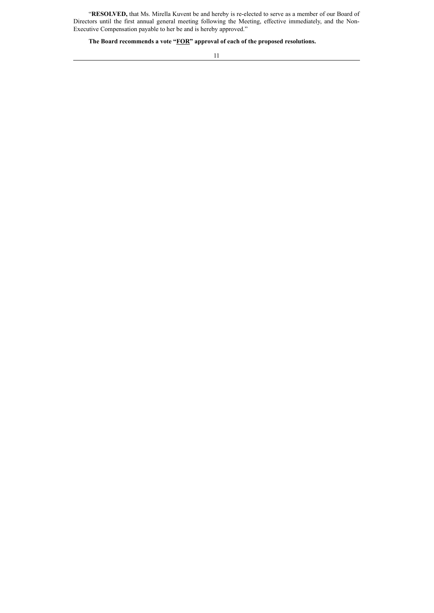"**RESOLVED,** that Ms. Mirella Kuvent be and hereby is re-elected to serve as a member of our Board of Directors until the first annual general meeting following the Meeting, effective immediately, and the Non-Executive Compensation payable to her be and is hereby approved."

**The Board recommends a vote "FOR" approval of each of the proposed resolutions.**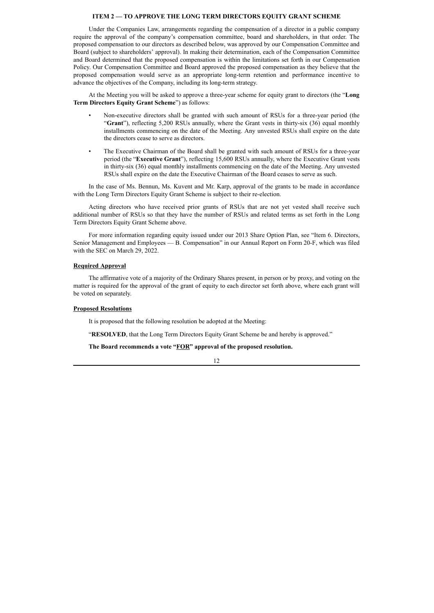## **ITEM 2 — TO APPROVE THE LONG TERM DIRECTORS EQUITY GRANT SCHEME**

Under the Companies Law, arrangements regarding the compensation of a director in a public company require the approval of the company's compensation committee, board and shareholders, in that order. The proposed compensation to our directors as described below, was approved by our Compensation Committee and Board (subject to shareholders' approval). In making their determination, each of the Compensation Committee and Board determined that the proposed compensation is within the limitations set forth in our Compensation Policy. Our Compensation Committee and Board approved the proposed compensation as they believe that the proposed compensation would serve as an appropriate long-term retention and performance incentive to advance the objectives of the Company, including its long-term strategy.

At the Meeting you will be asked to approve a three-year scheme for equity grant to directors (the "**Long Term Directors Equity Grant Scheme**") as follows:

- Non-executive directors shall be granted with such amount of RSUs for a three-year period (the "**Grant**"), reflecting 5,200 RSUs annually, where the Grant vests in thirty-six (36) equal monthly installments commencing on the date of the Meeting. Any unvested RSUs shall expire on the date the directors cease to serve as directors.
- The Executive Chairman of the Board shall be granted with such amount of RSUs for a three-year period (the "**Executive Grant**"), reflecting 15,600 RSUs annually, where the Executive Grant vests in thirty-six (36) equal monthly installments commencing on the date of the Meeting. Any unvested RSUs shall expire on the date the Executive Chairman of the Board ceases to serve as such.

In the case of Ms. Bennun, Ms. Kuvent and Mr. Karp, approval of the grants to be made in accordance with the Long Term Directors Equity Grant Scheme is subject to their re-election.

Acting directors who have received prior grants of RSUs that are not yet vested shall receive such additional number of RSUs so that they have the number of RSUs and related terms as set forth in the Long Term Directors Equity Grant Scheme above.

For more information regarding equity issued under our 2013 Share Option Plan, see "Item 6. Directors, Senior Management and Employees — B. Compensation" in our Annual Report on Form 20-F, which was filed with the SEC on March 29, 2022.

#### **Required Approval**

The affirmative vote of a majority of the Ordinary Shares present, in person or by proxy, and voting on the matter is required for the approval of the grant of equity to each director set forth above, where each grant will be voted on separately.

## **Proposed Resolutions**

It is proposed that the following resolution be adopted at the Meeting:

"**RESOLVED**, that the Long Term Directors Equity Grant Scheme be and hereby is approved."

#### **The Board recommends a vote "FOR" approval of the proposed resolution.**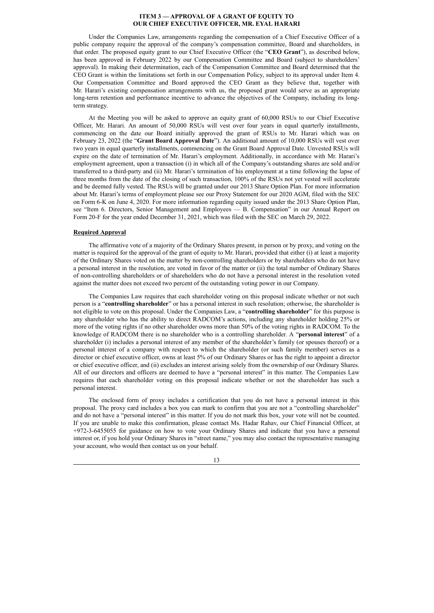#### **ITEM 3 — APPROVAL OF A GRANT OF EQUITY TO OUR CHIEF EXECUTIVE OFFICER, MR. EYAL HARARI**

Under the Companies Law, arrangements regarding the compensation of a Chief Executive Officer of a public company require the approval of the company's compensation committee, Board and shareholders, in that order. The proposed equity grant to our Chief Executive Officer (the "**CEO Grant**"), as described below, has been approved in February 2022 by our Compensation Committee and Board (subject to shareholders' approval). In making their determination, each of the Compensation Committee and Board determined that the CEO Grant is within the limitations set forth in our Compensation Policy, subject to its approval under Item 4. Our Compensation Committee and Board approved the CEO Grant as they believe that, together with Mr. Harari's existing compensation arrangements with us, the proposed grant would serve as an appropriate long-term retention and performance incentive to advance the objectives of the Company, including its longterm strategy.

At the Meeting you will be asked to approve an equity grant of 60,000 RSUs to our Chief Executive Officer, Mr. Harari. An amount of 50,000 RSUs will vest over four years in equal quarterly installments, commencing on the date our Board initially approved the grant of RSUs to Mr. Harari which was on February 23, 2022 (the "**Grant Board Approval Date**"). An additional amount of 10,000 RSUs will vest over two years in equal quarterly installments, commencing on the Grant Board Approval Date. Unvested RSUs will expire on the date of termination of Mr. Harari's employment. Additionally, in accordance with Mr. Harari's employment agreement, upon a transaction (i) in which all of the Company's outstanding shares are sold and/or transferred to a third-party and (ii) Mr. Harari's termination of his employment at a time following the lapse of three months from the date of the closing of such transaction, 100% of the RSUs not yet vested will accelerate and be deemed fully vested. The RSUs will be granted under our 2013 Share Option Plan. For more information about Mr. Harari's terms of employment please see our Proxy Statement for our 2020 AGM, filed with the SEC on Form 6-K on June 4, 2020. For more information regarding equity issued under the 2013 Share Option Plan, see "Item 6. Directors, Senior Management and Employees — B. Compensation" in our Annual Report on Form 20-F for the year ended December 31, 2021, which was filed with the SEC on March 29, 2022.

## **Required Approval**

The affirmative vote of a majority of the Ordinary Shares present, in person or by proxy, and voting on the matter is required for the approval of the grant of equity to Mr. Harari, provided that either (i) at least a majority of the Ordinary Shares voted on the matter by non-controlling shareholders or by shareholders who do not have a personal interest in the resolution, are voted in favor of the matter or (ii) the total number of Ordinary Shares of non-controlling shareholders or of shareholders who do not have a personal interest in the resolution voted against the matter does not exceed two percent of the outstanding voting power in our Company.

The Companies Law requires that each shareholder voting on this proposal indicate whether or not such person is a "**controlling shareholder**" or has a personal interest in such resolution; otherwise, the shareholder is not eligible to vote on this proposal. Under the Companies Law, a "**controlling shareholder**" for this purpose is any shareholder who has the ability to direct RADCOM's actions, including any shareholder holding 25% or more of the voting rights if no other shareholder owns more than 50% of the voting rights in RADCOM. To the knowledge of RADCOM there is no shareholder who is a controlling shareholder. A "**personal interest**" of a shareholder (i) includes a personal interest of any member of the shareholder's family (or spouses thereof) or a personal interest of a company with respect to which the shareholder (or such family member) serves as a director or chief executive officer, owns at least 5% of our Ordinary Shares or has the right to appoint a director or chief executive officer, and (ii) excludes an interest arising solely from the ownership of our Ordinary Shares. All of our directors and officers are deemed to have a "personal interest" in this matter. The Companies Law requires that each shareholder voting on this proposal indicate whether or not the shareholder has such a personal interest.

The enclosed form of proxy includes a certification that you do not have a personal interest in this proposal. The proxy card includes a box you can mark to confirm that you are not a "controlling shareholder" and do not have a "personal interest" in this matter. If you do not mark this box, your vote will not be counted. If you are unable to make this confirmation, please contact Ms. Hadar Rahav, our Chief Financial Officer, at +972-3-6455055 for guidance on how to vote your Ordinary Shares and indicate that you have a personal interest or, if you hold your Ordinary Shares in "street name," you may also contact the representative managing your account, who would then contact us on your behalf.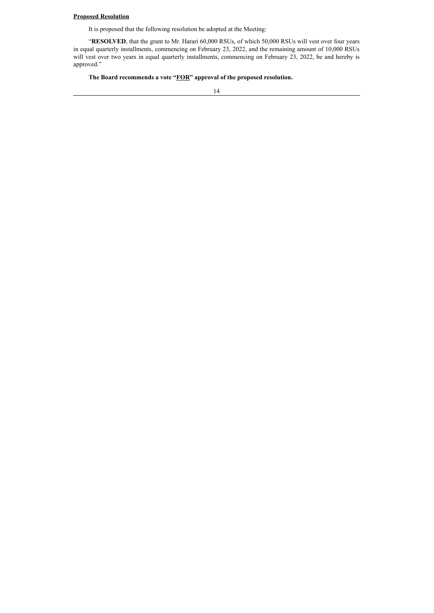**Proposed Resolution**

It is proposed that the following resolution be adopted at the Meeting:

"**RESOLVED**, that the grant to Mr. Harari 60,000 RSUs, of which 50,000 RSUs will vest over four years in equal quarterly installments, commencing on February 23, 2022, and the remaining amount of 10,000 RSUs will vest over two years in equal quarterly installments, commencing on February 23, 2022, be and hereby is approved."

**The Board recommends a vote "FOR" approval of the proposed resolution.**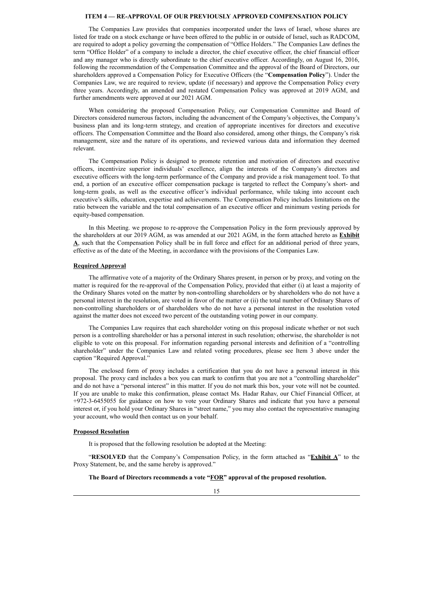## **ITEM 4 — RE-APPROVAL OF OUR PREVIOUSLY APPROVED COMPENSATION POLICY**

The Companies Law provides that companies incorporated under the laws of Israel, whose shares are listed for trade on a stock exchange or have been offered to the public in or outside of Israel, such as RADCOM, are required to adopt a policy governing the compensation of "Office Holders." The Companies Law defines the term "Office Holder" of a company to include a director, the chief executive officer, the chief financial officer and any manager who is directly subordinate to the chief executive officer. Accordingly, on August 16, 2016, following the recommendation of the Compensation Committee and the approval of the Board of Directors, our shareholders approved a Compensation Policy for Executive Officers (the "**Compensation Policy**"). Under the Companies Law, we are required to review, update (if necessary) and approve the Compensation Policy every three years. Accordingly, an amended and restated Compensation Policy was approved at 2019 AGM, and further amendments were approved at our 2021 AGM.

When considering the proposed Compensation Policy, our Compensation Committee and Board of Directors considered numerous factors, including the advancement of the Company's objectives, the Company's business plan and its long-term strategy, and creation of appropriate incentives for directors and executive officers. The Compensation Committee and the Board also considered, among other things, the Company's risk management, size and the nature of its operations, and reviewed various data and information they deemed relevant.

The Compensation Policy is designed to promote retention and motivation of directors and executive officers, incentivize superior individuals' excellence, align the interests of the Company's directors and executive officers with the long-term performance of the Company and provide a risk management tool. To that end, a portion of an executive officer compensation package is targeted to reflect the Company's short- and long-term goals, as well as the executive officer's individual performance, while taking into account each executive's skills, education, expertise and achievements. The Compensation Policy includes limitations on the ratio between the variable and the total compensation of an executive officer and minimum vesting periods for equity-based compensation.

In this Meeting. we propose to re-approve the Compensation Policy in the form previously approved by the shareholders at our 2019 AGM, as was amended at our 2021 AGM, in the form attached hereto as **Exhibit A**, such that the Compensation Policy shall be in full force and effect for an additional period of three years, effective as of the date of the Meeting, in accordance with the provisions of the Companies Law.

## **Required Approval**

The affirmative vote of a majority of the Ordinary Shares present, in person or by proxy, and voting on the matter is required for the re-approval of the Compensation Policy, provided that either (i) at least a majority of the Ordinary Shares voted on the matter by non-controlling shareholders or by shareholders who do not have a personal interest in the resolution, are voted in favor of the matter or (ii) the total number of Ordinary Shares of non-controlling shareholders or of shareholders who do not have a personal interest in the resolution voted against the matter does not exceed two percent of the outstanding voting power in our company.

The Companies Law requires that each shareholder voting on this proposal indicate whether or not such person is a controlling shareholder or has a personal interest in such resolution; otherwise, the shareholder is not eligible to vote on this proposal. For information regarding personal interests and definition of a "controlling shareholder" under the Companies Law and related voting procedures, please see Item 3 above under the caption "Required Approval."

The enclosed form of proxy includes a certification that you do not have a personal interest in this proposal. The proxy card includes a box you can mark to confirm that you are not a "controlling shareholder" and do not have a "personal interest" in this matter. If you do not mark this box, your vote will not be counted. If you are unable to make this confirmation, please contact Ms. Hadar Rahav, our Chief Financial Officer, at +972-3-6455055 for guidance on how to vote your Ordinary Shares and indicate that you have a personal interest or, if you hold your Ordinary Shares in "street name," you may also contact the representative managing your account, who would then contact us on your behalf.

#### **Proposed Resolution**

It is proposed that the following resolution be adopted at the Meeting:

"**RESOLVED** that the Company's Compensation Policy, in the form attached as "**Exhibit A**" to the Proxy Statement, be, and the same hereby is approved."

**The Board of Directors recommends a vote "FOR" approval of the proposed resolution.**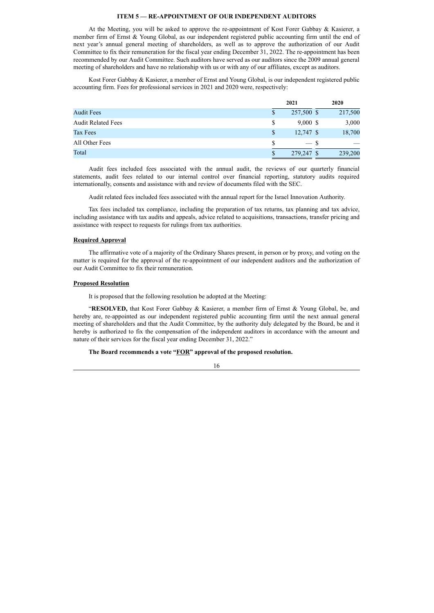## **ITEM 5 — RE-APPOINTMENT OF OUR INDEPENDENT AUDITORS**

At the Meeting, you will be asked to approve the re-appointment of Kost Forer Gabbay & Kasierer, a member firm of Ernst & Young Global, as our independent registered public accounting firm until the end of next year's annual general meeting of shareholders, as well as to approve the authorization of our Audit Committee to fix their remuneration for the fiscal year ending December 31, 2022. The re-appointment has been recommended by our Audit Committee. Such auditors have served as our auditors since the 2009 annual general meeting of shareholders and have no relationship with us or with any of our affiliates, except as auditors.

Kost Forer Gabbay & Kasierer, a member of Ernst and Young Global, is our independent registered public accounting firm. Fees for professional services in 2021 and 2020 were, respectively:

|                           |    | 2021        | 2020    |
|---------------------------|----|-------------|---------|
| <b>Audit Fees</b>         | S  | 257,500 \$  | 217,500 |
| <b>Audit Related Fees</b> | \$ | $9,000$ \$  | 3,000   |
| Tax Fees                  | \$ | $12,747$ \$ | 18,700  |
| All Other Fees            | S  | $-$ \$      |         |
| Total                     | S  | 279,247 \$  | 239,200 |

Audit fees included fees associated with the annual audit, the reviews of our quarterly financial statements, audit fees related to our internal control over financial reporting, statutory audits required internationally, consents and assistance with and review of documents filed with the SEC.

Audit related fees included fees associated with the annual report for the Israel Innovation Authority.

Tax fees included tax compliance, including the preparation of tax returns, tax planning and tax advice, including assistance with tax audits and appeals, advice related to acquisitions, transactions, transfer pricing and assistance with respect to requests for rulings from tax authorities.

#### **Required Approval**

The affirmative vote of a majority of the Ordinary Shares present, in person or by proxy, and voting on the matter is required for the approval of the re-appointment of our independent auditors and the authorization of our Audit Committee to fix their remuneration.

#### **Proposed Resolution**

It is proposed that the following resolution be adopted at the Meeting:

"**RESOLVED,** that Kost Forer Gabbay & Kasierer, a member firm of Ernst & Young Global, be, and hereby are, re-appointed as our independent registered public accounting firm until the next annual general meeting of shareholders and that the Audit Committee, by the authority duly delegated by the Board, be and it hereby is authorized to fix the compensation of the independent auditors in accordance with the amount and nature of their services for the fiscal year ending December 31, 2022."

#### **The Board recommends a vote "FOR" approval of the proposed resolution.**

| ti | v<br>٠        |
|----|---------------|
|    | ٠<br>۰.       |
|    | ۰.<br>×<br>۰. |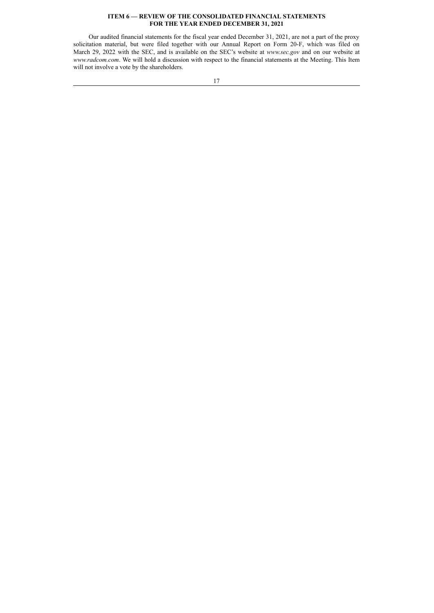## **ITEM 6 — REVIEW OF THE CONSOLIDATED FINANCIAL STATEMENTS FOR THE YEAR ENDED DECEMBER 31, 2021**

Our audited financial statements for the fiscal year ended December 31, 2021, are not a part of the proxy solicitation material, but were filed together with our Annual Report on Form 20-F, which was filed on March 29, 2022 with the SEC, and is available on the SEC's website at *www.sec.gov* and on our website at *www.radcom.com*. We will hold a discussion with respect to the financial statements at the Meeting. This Item will not involve a vote by the shareholders.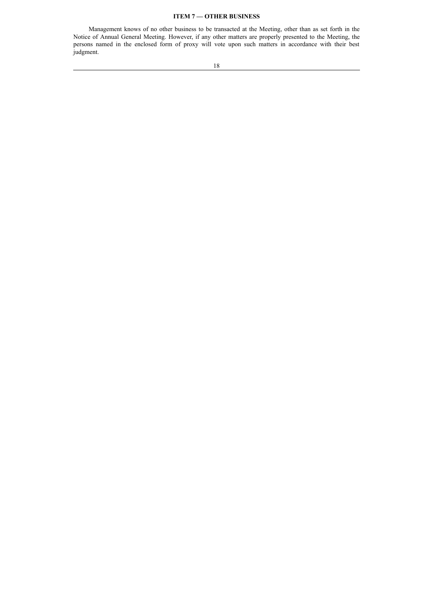## **ITEM 7 — OTHER BUSINESS**

Management knows of no other business to be transacted at the Meeting, other than as set forth in the Notice of Annual General Meeting. However, if any other matters are properly presented to the Meeting, the persons named in the enclosed form of proxy will vote upon such matters in accordance with their best judgment.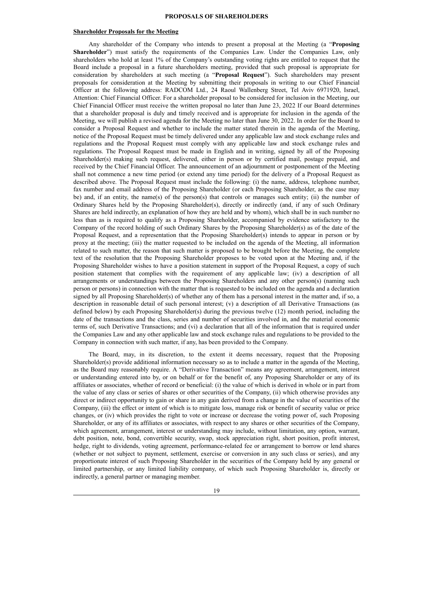#### **PROPOSALS OF SHAREHOLDERS**

#### **Shareholder Proposals for the Meeting**

Any shareholder of the Company who intends to present a proposal at the Meeting (a "**Proposing Shareholder**") must satisfy the requirements of the Companies Law. Under the Companies Law, only shareholders who hold at least 1% of the Company's outstanding voting rights are entitled to request that the Board include a proposal in a future shareholders meeting, provided that such proposal is appropriate for consideration by shareholders at such meeting (a "**Proposal Request**"). Such shareholders may present proposals for consideration at the Meeting by submitting their proposals in writing to our Chief Financial Officer at the following address: RADCOM Ltd., 24 Raoul Wallenberg Street, Tel Aviv 6971920, Israel, Attention: Chief Financial Officer. For a shareholder proposal to be considered for inclusion in the Meeting, our Chief Financial Officer must receive the written proposal no later than June 23, 2022 If our Board determines that a shareholder proposal is duly and timely received and is appropriate for inclusion in the agenda of the Meeting, we will publish a revised agenda for the Meeting no later than June 30, 2022. In order for the Board to consider a Proposal Request and whether to include the matter stated therein in the agenda of the Meeting, notice of the Proposal Request must be timely delivered under any applicable law and stock exchange rules and regulations and the Proposal Request must comply with any applicable law and stock exchange rules and regulations. The Proposal Request must be made in English and in writing, signed by all of the Proposing Shareholder(s) making such request, delivered, either in person or by certified mail, postage prepaid, and received by the Chief Financial Officer. The announcement of an adjournment or postponement of the Meeting shall not commence a new time period (or extend any time period) for the delivery of a Proposal Request as described above. The Proposal Request must include the following: (i) the name, address, telephone number, fax number and email address of the Proposing Shareholder (or each Proposing Shareholder, as the case may be) and, if an entity, the name(s) of the person(s) that controls or manages such entity; (ii) the number of Ordinary Shares held by the Proposing Shareholder(s), directly or indirectly (and, if any of such Ordinary Shares are held indirectly, an explanation of how they are held and by whom), which shall be in such number no less than as is required to qualify as a Proposing Shareholder, accompanied by evidence satisfactory to the Company of the record holding of such Ordinary Shares by the Proposing Shareholder(s) as of the date of the Proposal Request, and a representation that the Proposing Shareholder(s) intends to appear in person or by proxy at the meeting; (iii) the matter requested to be included on the agenda of the Meeting, all information related to such matter, the reason that such matter is proposed to be brought before the Meeting, the complete text of the resolution that the Proposing Shareholder proposes to be voted upon at the Meeting and, if the Proposing Shareholder wishes to have a position statement in support of the Proposal Request, a copy of such position statement that complies with the requirement of any applicable law; (iv) a description of all arrangements or understandings between the Proposing Shareholders and any other person(s) (naming such person or persons) in connection with the matter that is requested to be included on the agenda and a declaration signed by all Proposing Shareholder(s) of whether any of them has a personal interest in the matter and, if so, a description in reasonable detail of such personal interest; (v) a description of all Derivative Transactions (as defined below) by each Proposing Shareholder(s) during the previous twelve (12) month period, including the date of the transactions and the class, series and number of securities involved in, and the material economic terms of, such Derivative Transactions; and (vi) a declaration that all of the information that is required under the Companies Law and any other applicable law and stock exchange rules and regulations to be provided to the Company in connection with such matter, if any, has been provided to the Company.

The Board, may, in its discretion, to the extent it deems necessary, request that the Proposing Shareholder(s) provide additional information necessary so as to include a matter in the agenda of the Meeting, as the Board may reasonably require. A "Derivative Transaction" means any agreement, arrangement, interest or understanding entered into by, or on behalf or for the benefit of, any Proposing Shareholder or any of its affiliates or associates, whether of record or beneficial: (i) the value of which is derived in whole or in part from the value of any class or series of shares or other securities of the Company, (ii) which otherwise provides any direct or indirect opportunity to gain or share in any gain derived from a change in the value of securities of the Company, (iii) the effect or intent of which is to mitigate loss, manage risk or benefit of security value or price changes, or (iv) which provides the right to vote or increase or decrease the voting power of, such Proposing Shareholder, or any of its affiliates or associates, with respect to any shares or other securities of the Company, which agreement, arrangement, interest or understanding may include, without limitation, any option, warrant, debt position, note, bond, convertible security, swap, stock appreciation right, short position, profit interest, hedge, right to dividends, voting agreement, performance-related fee or arrangement to borrow or lend shares (whether or not subject to payment, settlement, exercise or conversion in any such class or series), and any proportionate interest of such Proposing Shareholder in the securities of the Company held by any general or limited partnership, or any limited liability company, of which such Proposing Shareholder is, directly or indirectly, a general partner or managing member.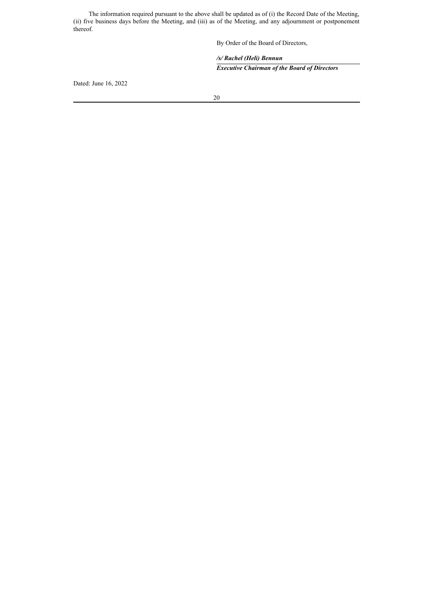The information required pursuant to the above shall be updated as of (i) the Record Date of the Meeting, (ii) five business days before the Meeting, and (iii) as of the Meeting, and any adjournment or postponement thereof.

By Order of the Board of Directors,

 */s/ Rachel (Heli) Bennun Executive Chairman of the Board of Directors*

Dated: June 16, 2022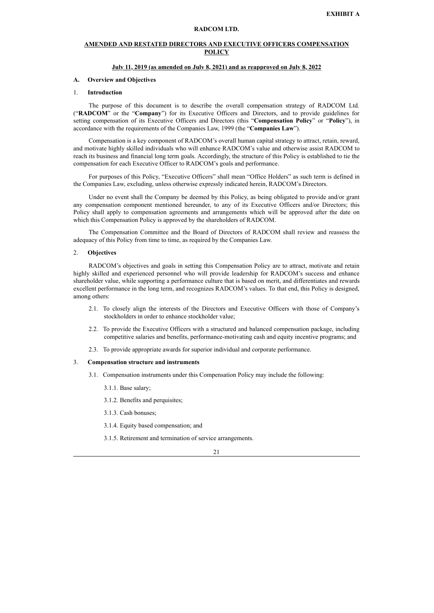## **RADCOM LTD.**

## **AMENDED AND RESTATED DIRECTORS AND EXECUTIVE OFFICERS COMPENSATION POLICY**

## **July 11, 2019 (as amended on July 8, 2021) and as reapproved on July 8, 2022**

#### **A. Overview and Objectives**

#### 1. **Introduction**

The purpose of this document is to describe the overall compensation strategy of RADCOM Ltd. ("**RADCOM**" or the "**Company**") for its Executive Officers and Directors, and to provide guidelines for setting compensation of its Executive Officers and Directors (this "**Compensation Policy**" or "**Policy**"), in accordance with the requirements of the Companies Law, 1999 (the "**Companies Law**").

Compensation is a key component of RADCOM's overall human capital strategy to attract, retain, reward, and motivate highly skilled individuals who will enhance RADCOM's value and otherwise assist RADCOM to reach its business and financial long term goals. Accordingly, the structure of this Policy is established to tie the compensation for each Executive Officer to RADCOM's goals and performance.

For purposes of this Policy, "Executive Officers" shall mean "Office Holders" as such term is defined in the Companies Law, excluding, unless otherwise expressly indicated herein, RADCOM's Directors.

Under no event shall the Company be deemed by this Policy, as being obligated to provide and/or grant any compensation component mentioned hereunder, to any of its Executive Officers and/or Directors; this Policy shall apply to compensation agreements and arrangements which will be approved after the date on which this Compensation Policy is approved by the shareholders of RADCOM.

The Compensation Committee and the Board of Directors of RADCOM shall review and reassess the adequacy of this Policy from time to time, as required by the Companies Law.

#### 2. **Objectives**

RADCOM's objectives and goals in setting this Compensation Policy are to attract, motivate and retain highly skilled and experienced personnel who will provide leadership for RADCOM's success and enhance shareholder value, while supporting a performance culture that is based on merit, and differentiates and rewards excellent performance in the long term, and recognizes RADCOM's values. To that end, this Policy is designed, among others:

- 2.1. To closely align the interests of the Directors and Executive Officers with those of Company's stockholders in order to enhance stockholder value;
- 2.2. To provide the Executive Officers with a structured and balanced compensation package, including competitive salaries and benefits, performance-motivating cash and equity incentive programs; and
- 2.3. To provide appropriate awards for superior individual and corporate performance.

## 3. **Compensation structure and instruments**

- 3.1. Compensation instruments under this Compensation Policy may include the following:
	- 3.1.1. Base salary;
	- 3.1.2. Benefits and perquisites;
	- 3.1.3. Cash bonuses;
	- 3.1.4. Equity based compensation; and
	- 3.1.5. Retirement and termination of service arrangements.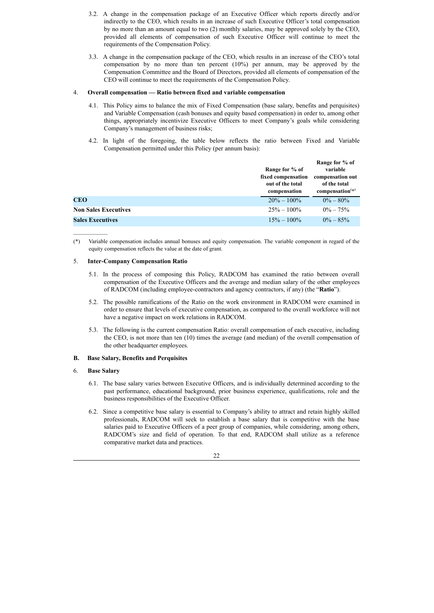- 3.2. A change in the compensation package of an Executive Officer which reports directly and/or indirectly to the CEO, which results in an increase of such Executive Officer's total compensation by no more than an amount equal to two (2) monthly salaries, may be approved solely by the CEO, provided all elements of compensation of such Executive Officer will continue to meet the requirements of the Compensation Policy.
- 3.3. A change in the compensation package of the CEO, which results in an increase of the CEO's total compensation by no more than ten percent (10%) per annum, may be approved by the Compensation Committee and the Board of Directors, provided all elements of compensation of the CEO will continue to meet the requirements of the Compensation Policy.

#### 4. **Overall compensation — Ratio between fixed and variable compensation**

- 4.1. This Policy aims to balance the mix of Fixed Compensation (base salary, benefits and perquisites) and Variable Compensation (cash bonuses and equity based compensation) in order to, among other things, appropriately incentivize Executive Officers to meet Company's goals while considering Company's management of business risks;
- 4.2. In light of the foregoing, the table below reflects the ratio between Fixed and Variable Compensation permitted under this Policy (per annum basis):

|                             | Range for % of<br>fixed compensation<br>out of the total<br>compensation | Range for % of<br>variable<br>compensation out<br>of the total<br>$composition^{(*)}$ |
|-----------------------------|--------------------------------------------------------------------------|---------------------------------------------------------------------------------------|
| CEO                         | $20\% - 100\%$                                                           | $0\% - 80\%$                                                                          |
| <b>Non Sales Executives</b> | $25\% - 100\%$                                                           | $0\% - 75\%$                                                                          |
| <b>Sales Executives</b>     | $15\% - 100\%$                                                           | $0\% - 85\%$                                                                          |

<sup>(\*)</sup> Variable compensation includes annual bonuses and equity compensation. The variable component in regard of the equity compensation reflects the value at the date of grant.

#### 5. **Inter-Company Compensation Ratio**

- 5.1. In the process of composing this Policy, RADCOM has examined the ratio between overall compensation of the Executive Officers and the average and median salary of the other employees of RADCOM (including employee-contractors and agency contractors, if any) (the "**Ratio**").
- 5.2. The possible ramifications of the Ratio on the work environment in RADCOM were examined in order to ensure that levels of executive compensation, as compared to the overall workforce will not have a negative impact on work relations in RADCOM.
- 5.3. The following is the current compensation Ratio: overall compensation of each executive, including the CEO, is not more than ten (10) times the average (and median) of the overall compensation of the other headquarter employees.

## **B. Base Salary, Benefits and Perquisites**

## 6. **Base Salary**

 $\mathcal{L}_\text{max}$ 

- 6.1. The base salary varies between Executive Officers, and is individually determined according to the past performance, educational background, prior business experience, qualifications, role and the business responsibilities of the Executive Officer.
- 6.2. Since a competitive base salary is essential to Company's ability to attract and retain highly skilled professionals, RADCOM will seek to establish a base salary that is competitive with the base salaries paid to Executive Officers of a peer group of companies, while considering, among others, RADCOM's size and field of operation. To that end, RADCOM shall utilize as a reference comparative market data and practices.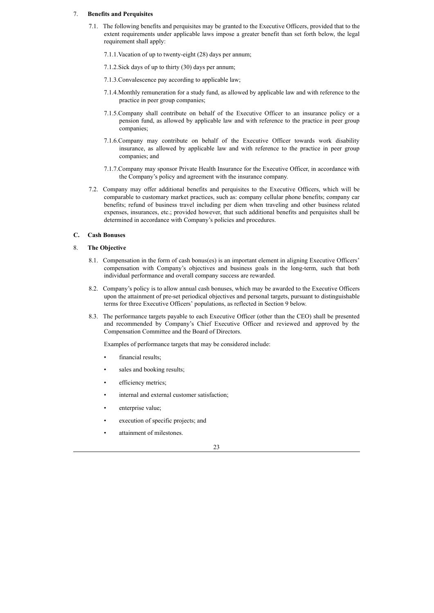#### 7. **Benefits and Perquisites**

- 7.1. The following benefits and perquisites may be granted to the Executive Officers, provided that to the extent requirements under applicable laws impose a greater benefit than set forth below, the legal requirement shall apply:
	- 7.1.1.Vacation of up to twenty-eight (28) days per annum;
	- 7.1.2.Sick days of up to thirty (30) days per annum;
	- 7.1.3.Convalescence pay according to applicable law;
	- 7.1.4.Monthly remuneration for a study fund, as allowed by applicable law and with reference to the practice in peer group companies;
	- 7.1.5.Company shall contribute on behalf of the Executive Officer to an insurance policy or a pension fund, as allowed by applicable law and with reference to the practice in peer group companies;
	- 7.1.6.Company may contribute on behalf of the Executive Officer towards work disability insurance, as allowed by applicable law and with reference to the practice in peer group companies; and
	- 7.1.7.Company may sponsor Private Health Insurance for the Executive Officer, in accordance with the Company's policy and agreement with the insurance company.
- 7.2. Company may offer additional benefits and perquisites to the Executive Officers, which will be comparable to customary market practices, such as: company cellular phone benefits; company car benefits; refund of business travel including per diem when traveling and other business related expenses, insurances, etc.; provided however, that such additional benefits and perquisites shall be determined in accordance with Company's policies and procedures.

## **C. Cash Bonuses**

#### 8. **The Objective**

- 8.1. Compensation in the form of cash bonus(es) is an important element in aligning Executive Officers' compensation with Company's objectives and business goals in the long-term, such that both individual performance and overall company success are rewarded.
- 8.2. Company's policy is to allow annual cash bonuses, which may be awarded to the Executive Officers upon the attainment of pre-set periodical objectives and personal targets, pursuant to distinguishable terms for three Executive Officers' populations, as reflected in Section 9 below.
- 8.3. The performance targets payable to each Executive Officer (other than the CEO) shall be presented and recommended by Company's Chief Executive Officer and reviewed and approved by the Compensation Committee and the Board of Directors.

Examples of performance targets that may be considered include:

- financial results:
- sales and booking results;
- efficiency metrics;
- internal and external customer satisfaction:
- enterprise value;
- execution of specific projects; and
- attainment of milestones.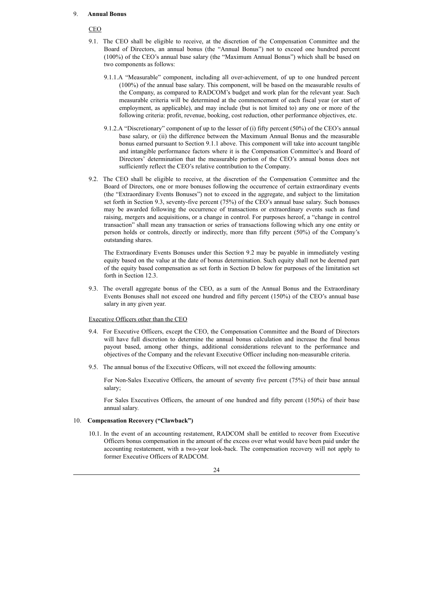#### 9. **Annual Bonus**

## CEO

- 9.1. The CEO shall be eligible to receive, at the discretion of the Compensation Committee and the Board of Directors, an annual bonus (the "Annual Bonus") not to exceed one hundred percent (100%) of the CEO's annual base salary (the "Maximum Annual Bonus") which shall be based on two components as follows:
	- 9.1.1.A "Measurable" component, including all over-achievement, of up to one hundred percent (100%) of the annual base salary. This component, will be based on the measurable results of the Company, as compared to RADCOM's budget and work plan for the relevant year. Such measurable criteria will be determined at the commencement of each fiscal year (or start of employment, as applicable), and may include (but is not limited to) any one or more of the following criteria: profit, revenue, booking, cost reduction, other performance objectives, etc.
	- 9.1.2.A "Discretionary" component of up to the lesser of (i) fifty percent (50%) of the CEO's annual base salary, or (ii) the difference between the Maximum Annual Bonus and the measurable bonus earned pursuant to Section 9.1.1 above. This component will take into account tangible and intangible performance factors where it is the Compensation Committee's and Board of Directors' determination that the measurable portion of the CEO's annual bonus does not sufficiently reflect the CEO's relative contribution to the Company.
- 9.2. The CEO shall be eligible to receive, at the discretion of the Compensation Committee and the Board of Directors, one or more bonuses following the occurrence of certain extraordinary events (the "Extraordinary Events Bonuses") not to exceed in the aggregate, and subject to the limitation set forth in Section 9.3, seventy-five percent (75%) of the CEO's annual base salary. Such bonuses may be awarded following the occurrence of transactions or extraordinary events such as fund raising, mergers and acquisitions, or a change in control. For purposes hereof, a "change in control transaction" shall mean any transaction or series of transactions following which any one entity or person holds or controls, directly or indirectly, more than fifty percent (50%) of the Company's outstanding shares.

The Extraordinary Events Bonuses under this Section 9.2 may be payable in immediately vesting equity based on the value at the date of bonus determination. Such equity shall not be deemed part of the equity based compensation as set forth in Section D below for purposes of the limitation set forth in Section 12.3.

9.3. The overall aggregate bonus of the CEO, as a sum of the Annual Bonus and the Extraordinary Events Bonuses shall not exceed one hundred and fifty percent (150%) of the CEO's annual base salary in any given year.

#### Executive Officers other than the CEO

- 9.4. For Executive Officers, except the CEO, the Compensation Committee and the Board of Directors will have full discretion to determine the annual bonus calculation and increase the final bonus payout based, among other things, additional considerations relevant to the performance and objectives of the Company and the relevant Executive Officer including non-measurable criteria.
- 9.5. The annual bonus of the Executive Officers, will not exceed the following amounts:

For Non-Sales Executive Officers, the amount of seventy five percent (75%) of their base annual salary;

For Sales Executives Officers, the amount of one hundred and fifty percent (150%) of their base annual salary.

## 10. **Compensation Recovery ("Clawback")**

10.1. In the event of an accounting restatement, RADCOM shall be entitled to recover from Executive Officers bonus compensation in the amount of the excess over what would have been paid under the accounting restatement, with a two-year look-back. The compensation recovery will not apply to former Executive Officers of RADCOM.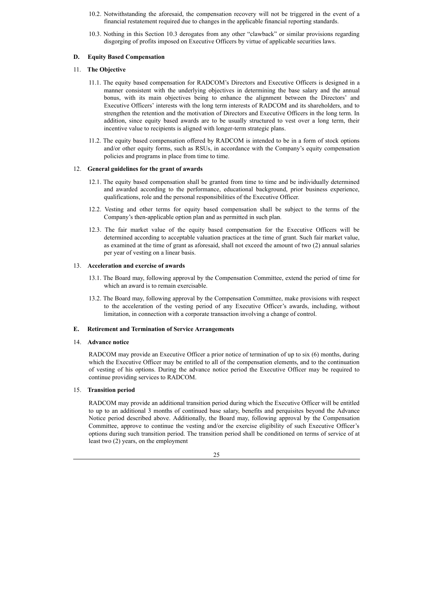- 10.2. Notwithstanding the aforesaid, the compensation recovery will not be triggered in the event of a financial restatement required due to changes in the applicable financial reporting standards.
- 10.3. Nothing in this Section 10.3 derogates from any other "clawback" or similar provisions regarding disgorging of profits imposed on Executive Officers by virtue of applicable securities laws.

## **D. Equity Based Compensation**

## 11. **The Objective**

- 11.1. The equity based compensation for RADCOM's Directors and Executive Officers is designed in a manner consistent with the underlying objectives in determining the base salary and the annual bonus, with its main objectives being to enhance the alignment between the Directors' and Executive Officers' interests with the long term interests of RADCOM and its shareholders, and to strengthen the retention and the motivation of Directors and Executive Officers in the long term. In addition, since equity based awards are to be usually structured to vest over a long term, their incentive value to recipients is aligned with longer-term strategic plans.
- 11.2. The equity based compensation offered by RADCOM is intended to be in a form of stock options and/or other equity forms, such as RSUs, in accordance with the Company's equity compensation policies and programs in place from time to time.

## 12. **General guidelines for the grant of awards**

- 12.1. The equity based compensation shall be granted from time to time and be individually determined and awarded according to the performance, educational background, prior business experience, qualifications, role and the personal responsibilities of the Executive Officer.
- 12.2. Vesting and other terms for equity based compensation shall be subject to the terms of the Company's then-applicable option plan and as permitted in such plan.
- 12.3. The fair market value of the equity based compensation for the Executive Officers will be determined according to acceptable valuation practices at the time of grant. Such fair market value, as examined at the time of grant as aforesaid, shall not exceed the amount of two (2) annual salaries per year of vesting on a linear basis.

## 13. **Acceleration and exercise of awards**

- 13.1. The Board may, following approval by the Compensation Committee, extend the period of time for which an award is to remain exercisable.
- 13.2. The Board may, following approval by the Compensation Committee, make provisions with respect to the acceleration of the vesting period of any Executive Officer's awards, including, without limitation, in connection with a corporate transaction involving a change of control.

## **E. Retirement and Termination of Service Arrangements**

#### 14. **Advance notice**

RADCOM may provide an Executive Officer a prior notice of termination of up to six (6) months, during which the Executive Officer may be entitled to all of the compensation elements, and to the continuation of vesting of his options. During the advance notice period the Executive Officer may be required to continue providing services to RADCOM.

## 15. **Transition period**

RADCOM may provide an additional transition period during which the Executive Officer will be entitled to up to an additional 3 months of continued base salary, benefits and perquisites beyond the Advance Notice period described above. Additionally, the Board may, following approval by the Compensation Committee, approve to continue the vesting and/or the exercise eligibility of such Executive Officer's options during such transition period. The transition period shall be conditioned on terms of service of at least two (2) years, on the employment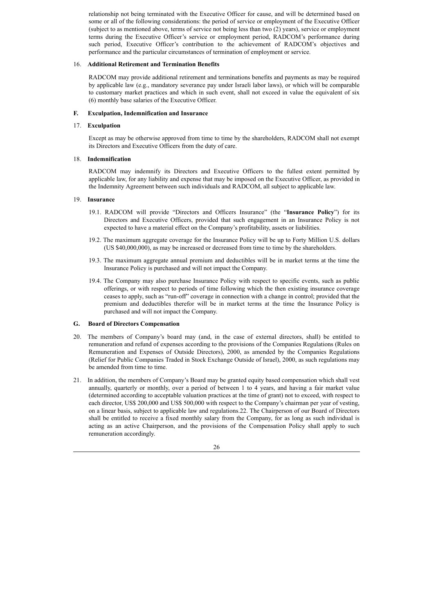relationship not being terminated with the Executive Officer for cause, and will be determined based on some or all of the following considerations: the period of service or employment of the Executive Officer (subject to as mentioned above, terms of service not being less than two (2) years), service or employment terms during the Executive Officer's service or employment period, RADCOM's performance during such period, Executive Officer's contribution to the achievement of RADCOM's objectives and performance and the particular circumstances of termination of employment or service.

#### 16. **Additional Retirement and Termination Benefits**

RADCOM may provide additional retirement and terminations benefits and payments as may be required by applicable law (e.g., mandatory severance pay under Israeli labor laws), or which will be comparable to customary market practices and which in such event, shall not exceed in value the equivalent of six (6) monthly base salaries of the Executive Officer.

## **F. Exculpation, Indemnification and Insurance**

## 17. **Exculpation**

Except as may be otherwise approved from time to time by the shareholders, RADCOM shall not exempt its Directors and Executive Officers from the duty of care.

## 18. **Indemnification**

RADCOM may indemnify its Directors and Executive Officers to the fullest extent permitted by applicable law, for any liability and expense that may be imposed on the Executive Officer, as provided in the Indemnity Agreement between such individuals and RADCOM, all subject to applicable law.

## 19. **Insurance**

- 19.1. RADCOM will provide "Directors and Officers Insurance" (the "**Insurance Policy**") for its Directors and Executive Officers, provided that such engagement in an Insurance Policy is not expected to have a material effect on the Company's profitability, assets or liabilities.
- 19.2. The maximum aggregate coverage for the Insurance Policy will be up to Forty Million U.S. dollars (US \$40,000,000), as may be increased or decreased from time to time by the shareholders.
- 19.3. The maximum aggregate annual premium and deductibles will be in market terms at the time the Insurance Policy is purchased and will not impact the Company.
- 19.4. The Company may also purchase Insurance Policy with respect to specific events, such as public offerings, or with respect to periods of time following which the then existing insurance coverage ceases to apply, such as "run-off" coverage in connection with a change in control; provided that the premium and deductibles therefor will be in market terms at the time the Insurance Policy is purchased and will not impact the Company.

## **G. Board of Directors Compensation**

- 20. The members of Company's board may (and, in the case of external directors, shall) be entitled to remuneration and refund of expenses according to the provisions of the Companies Regulations (Rules on Remuneration and Expenses of Outside Directors), 2000, as amended by the Companies Regulations (Relief for Public Companies Traded in Stock Exchange Outside of Israel), 2000, as such regulations may be amended from time to time.
- 21. In addition, the members of Company's Board may be granted equity based compensation which shall vest annually, quarterly or monthly, over a period of between 1 to 4 years, and having a fair market value (determined according to acceptable valuation practices at the time of grant) not to exceed, with respect to each director, US\$ 200,000 and US\$ 500,000 with respect to the Company's chairman per year of vesting, on a linear basis, subject to applicable law and regulations.22. The Chairperson of our Board of Directors shall be entitled to receive a fixed monthly salary from the Company, for as long as such individual is acting as an active Chairperson, and the provisions of the Compensation Policy shall apply to such remuneration accordingly.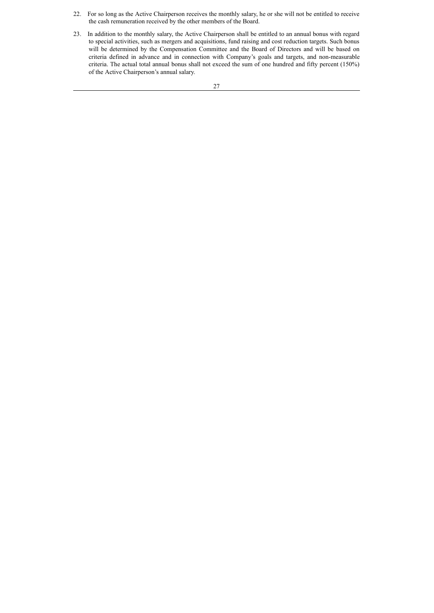- 22. For so long as the Active Chairperson receives the monthly salary, he or she will not be entitled to receive the cash remuneration received by the other members of the Board.
- 23. In addition to the monthly salary, the Active Chairperson shall be entitled to an annual bonus with regard to special activities, such as mergers and acquisitions, fund raising and cost reduction targets. Such bonus will be determined by the Compensation Committee and the Board of Directors and will be based on criteria defined in advance and in connection with Company's goals and targets, and non-measurable criteria. The actual total annual bonus shall not exceed the sum of one hundred and fifty percent (150%) of the Active Chairperson's annual salary.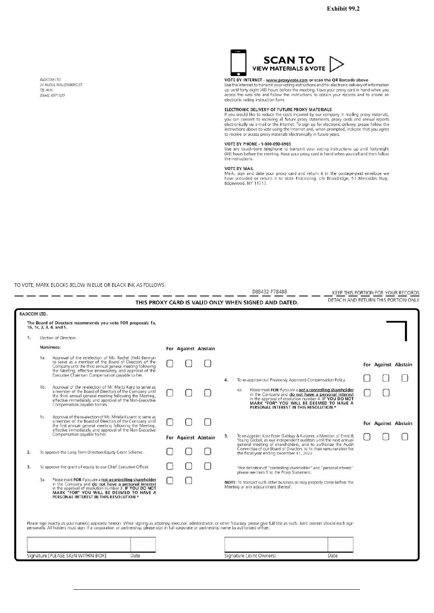<span id="page-30-0"></span>RADCOM ITD **MADCOW LTD.**<br>24 RAOUL WALLENBERG ST. TEL AVIV<br>ISRAEL 6971920



VOTE BY INTERNET - www.proxyvote.com or scan the QR Barcode above<br>Use the Internet to transmit your voting instructions and for electronic delivery of information<br>up until forty-eight (48) hours before the meeting. Have yo electronic voting instruction form.

#### ELECTRONIC DELIVERY OF FUTURE PROXY MATERIALS

ELECTINO INTO THE COST INTO THE PROCESS INCOMENDATION IN THE PROPERTY OF THE PROPERTY OF THE PROPERTY AND CONTROL SYSTEM AND CONTROLLY AND NOT CONTROLLY AND NOT CONTROLLY AND NOT ELECTION AND A UNIT OF THE ELECTIONIAL PROP to receive or access proxy materials electronically in future years.

#### VOTE BY PHONE - 1-800-690-6903

Use any touch-tone telephone to transmit your voting instructions up until forty-eight<br>(48) hours before the meeting. Have your proxy card in hand when you call and then follow the instructions.

#### **VOTE BY MAIL**

VOTE BY MAIN:<br>Mark, sign and date your proxy card and return it in the postage-paid envelope we<br>have provided or return it to Vote Processing, c/o Broadridge, 51 Mercedes Way,<br>Edgewood, NY 11717.

TO VOTE, MARK BLOCKS BELOW IN BLUE OR BLACK INK AS FOLLOWS: an an

- and a series D88432-P78488

KEEP THIS PORTION FOR YOUR RECORDS DETACH AND RETURN THIS PORTION ONLY

| RADCOM LTD.<br>The Board of Directors recommends you vote FOR proposals 1a,<br>1b, 1c, 2, 3, 4, and 5.                                                                                                                                                                                           |  |                     |    |                                                                                                                                                                                                                                                                                                                              |                                                                                                                                                                                                                                                                                                                                                                        |                     |
|--------------------------------------------------------------------------------------------------------------------------------------------------------------------------------------------------------------------------------------------------------------------------------------------------|--|---------------------|----|------------------------------------------------------------------------------------------------------------------------------------------------------------------------------------------------------------------------------------------------------------------------------------------------------------------------------|------------------------------------------------------------------------------------------------------------------------------------------------------------------------------------------------------------------------------------------------------------------------------------------------------------------------------------------------------------------------|---------------------|
| Election of Directors                                                                                                                                                                                                                                                                            |  |                     |    |                                                                                                                                                                                                                                                                                                                              |                                                                                                                                                                                                                                                                                                                                                                        |                     |
| Nominees:                                                                                                                                                                                                                                                                                        |  | For Against Abstain |    |                                                                                                                                                                                                                                                                                                                              |                                                                                                                                                                                                                                                                                                                                                                        |                     |
| Approval of the re-election of Ms. Rachel (Heli) Bennun<br>1a<br>to serve as a member of the Board of Directors of the<br>Company until the third annual general meeting following<br>the Meeting, effective immediately, and approval of the<br>Executive Chairman Compensation payable to her. |  |                     |    |                                                                                                                                                                                                                                                                                                                              |                                                                                                                                                                                                                                                                                                                                                                        | For Against Abstain |
| Approval of the re-election of Mr. Matty Karp to serve as<br>1 <sub>b</sub><br>a member of the Board of Directors of the Company until<br>the third annual general meeting following the Meeting,<br>effective immediately, and approval of the Non-Executive<br>Compensation payable to him.    |  |                     | 4. | To re-approve our Previously Approved Compensation Policy.<br>Please mark FOR if you are a not a controlling shareholder<br>in the Company and do not have a personal interest<br>in the approval of resolution number 4. IF YOU DO NOT<br>MARK "FOR" YOU WILL BE DEEMED TO HAVE A<br>PERSONAL INTEREST IN THIS RESOLUTION.* |                                                                                                                                                                                                                                                                                                                                                                        |                     |
| Approval of the re-election of Ms. Mirella Kuvent to serve as<br>1c.<br>a member of the Board of Directors of the Company until<br>the first annual general meeting following the Meeting,<br>effective immediately, and approval of the Non-Executive<br>Compensation payable to her.           |  | For Against Abstain | 5. | To re-appoint Kost Forer Gabbay & Kasierer, a Member of Ernst &                                                                                                                                                                                                                                                              |                                                                                                                                                                                                                                                                                                                                                                        | For Against Abstain |
| To approve the Long Term Directors Equity Grant Scheme.                                                                                                                                                                                                                                          |  |                     |    | Young Global, as our independent auditors until the next annual<br>general meeting of shareholders, and to authorize the Audit<br>Committee of our Board of Directors to fix their remuneration for<br>the fiscal year ending December 31, 2022.                                                                             |                                                                                                                                                                                                                                                                                                                                                                        |                     |
| To approve the grant of equity to our Chief Executive Officer.                                                                                                                                                                                                                                   |  |                     |    | *For definition of "controlling shareholder" and "personal interest"<br>please see Item 3 to the Proxy Statement.                                                                                                                                                                                                            |                                                                                                                                                                                                                                                                                                                                                                        |                     |
| Please mark FOR if you are a not a controlling shareholder<br>За.<br>in the Company and <b>do not have a personal interest</b><br>in the approval of resolution number 3. IF YOU DO NOT<br>MARK "FOR" YOU WILL BE DEEMED TO HAVE A<br>PERSONAL INTEREST IN THIS RESOLUTION.*                     |  |                     |    | NOTE: To transact such other business as may properly come before the<br>Meeting or any adjournment thereof.                                                                                                                                                                                                                 |                                                                                                                                                                                                                                                                                                                                                                        |                     |
| Signature [PLEASE SIGN WITHIN BOX]<br>Date                                                                                                                                                                                                                                                       |  |                     |    | Date                                                                                                                                                                                                                                                                                                                         |                                                                                                                                                                                                                                                                                                                                                                        |                     |
|                                                                                                                                                                                                                                                                                                  |  |                     |    |                                                                                                                                                                                                                                                                                                                              | Please sign exactly as your name(s) appear(s) hereon. When signing as attorney, executor, administrator, or other fiduciary, please give full title as such. Joint owners should each sign<br>personally. All holders must sign. If a corporation or partnership, please sign in full corporate or partnership name by authorized officer.<br>Signature (Joint Owners) |                     |

THIS PROXY CARD IS VALID ONLY WHEN SIGNED AND DATED.